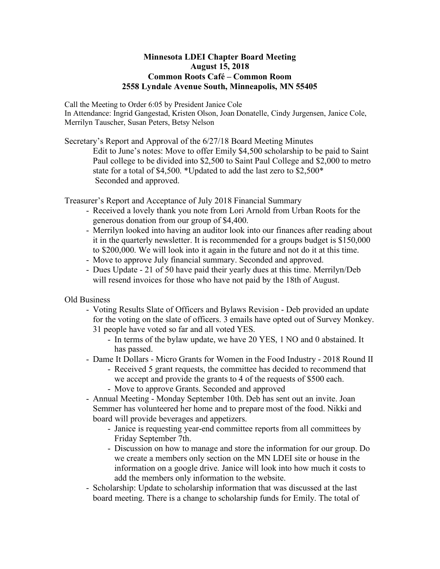## **Minnesota LDEI Chapter Board Meeting August 15, 2018 Common Roots Café – Common Room 2558 Lyndale Avenue South, Minneapolis, MN 55405**

Call the Meeting to Order 6:05 by President Janice Cole

In Attendance: Ingrid Gangestad, Kristen Olson, Joan Donatelle, Cindy Jurgensen, Janice Cole, Merrilyn Tauscher, Susan Peters, Betsy Nelson

Secretary's Report and Approval of the 6/27/18 Board Meeting Minutes

Edit to June's notes: Move to offer Emily \$4,500 scholarship to be paid to Saint Paul college to be divided into \$2,500 to Saint Paul College and \$2,000 to metro state for a total of \$4,500. \*Updated to add the last zero to \$2,500\* Seconded and approved.

Treasurer's Report and Acceptance of July 2018 Financial Summary

- Received a lovely thank you note from Lori Arnold from Urban Roots for the generous donation from our group of \$4,400.
- Merrilyn looked into having an auditor look into our finances after reading about it in the quarterly newsletter. It is recommended for a groups budget is \$150,000 to \$200,000. We will look into it again in the future and not do it at this time.
- Move to approve July financial summary. Seconded and approved.
- Dues Update 21 of 50 have paid their yearly dues at this time. Merrilyn/Deb will resend invoices for those who have not paid by the 18th of August.

Old Business

- Voting Results Slate of Officers and Bylaws Revision Deb provided an update for the voting on the slate of officers. 3 emails have opted out of Survey Monkey. 31 people have voted so far and all voted YES.
	- In terms of the bylaw update, we have 20 YES, 1 NO and 0 abstained. It has passed.
- Dame It Dollars Micro Grants for Women in the Food Industry 2018 Round II
	- Received 5 grant requests, the committee has decided to recommend that
	- we accept and provide the grants to 4 of the requests of \$500 each.
	- Move to approve Grants. Seconded and approved
- Annual Meeting Monday September 10th. Deb has sent out an invite. Joan Semmer has volunteered her home and to prepare most of the food. Nikki and board will provide beverages and appetizers.
	- Janice is requesting year-end committee reports from all committees by Friday September 7th.
	- Discussion on how to manage and store the information for our group. Do we create a members only section on the MN LDEI site or house in the information on a google drive. Janice will look into how much it costs to add the members only information to the website.
- Scholarship: Update to scholarship information that was discussed at the last board meeting. There is a change to scholarship funds for Emily. The total of